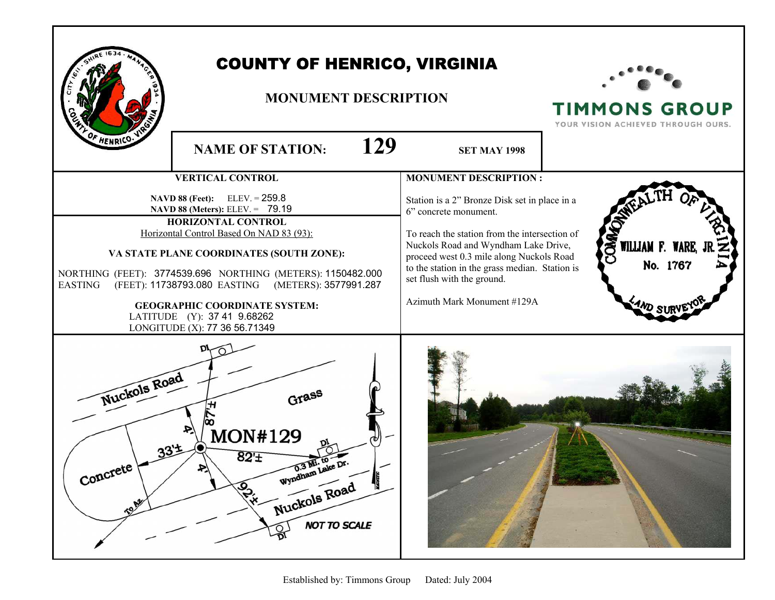|                                                                                                                                                                                                                                                                                                                                                                                              | <b>COUNTY OF HENRICO, VIRGINIA</b><br><b>MONUMENT DESCRIPTION</b>                       |     |                                                                                                                                                                                                                                                                           | <b>TIMMONS GROUP</b><br>YOUR VISION ACHIEVED THROUGH OURS. |
|----------------------------------------------------------------------------------------------------------------------------------------------------------------------------------------------------------------------------------------------------------------------------------------------------------------------------------------------------------------------------------------------|-----------------------------------------------------------------------------------------|-----|---------------------------------------------------------------------------------------------------------------------------------------------------------------------------------------------------------------------------------------------------------------------------|------------------------------------------------------------|
| HENRICO.                                                                                                                                                                                                                                                                                                                                                                                     | <b>NAME OF STATION:</b>                                                                 | 129 | <b>SET MAY 1998</b>                                                                                                                                                                                                                                                       |                                                            |
|                                                                                                                                                                                                                                                                                                                                                                                              | <b>VERTICAL CONTROL</b><br>$ELEV = 259.8$<br><b>NAVD 88 (Feet):</b>                     |     | <b>MONUMENT DESCRIPTION:</b><br>Station is a 2" Bronze Disk set in place in a                                                                                                                                                                                             |                                                            |
| NAVD 88 (Meters): ELEV. = 79.19<br>HORIZONTAL CONTROL<br>Horizontal Control Based On NAD 83 (93):<br>VA STATE PLANE COORDINATES (SOUTH ZONE):<br>NORTHING (FEET): 3774539.696 NORTHING (METERS): 1150482.000<br><b>EASTING</b><br>(FEET): 11738793.080 EASTING (METERS): 3577991.287<br><b>GEOGRAPHIC COORDINATE SYSTEM:</b><br>LATITUDE (Y): 37 41 9.68262<br>LONGITUDE (X): 77 36 56.71349 |                                                                                         |     | 6" concrete monument.<br>To reach the station from the intersection of<br>Nuckols Road and Wyndham Lake Drive,<br>proceed west 0.3 mile along Nuckols Road<br>to the station in the grass median. Station is<br>set flush with the ground.<br>Azimuth Mark Monument #129A | <b>S</b><br>WILLIAM F. WARE,<br>No. 1767                   |
| Nuckols Road<br>Concrete<br>TON                                                                                                                                                                                                                                                                                                                                                              | <b>MON#129</b><br>$82 +$<br>U.5 MI. Lai<br>Nuckols Road<br>192.4<br><b>NOT TO SCALE</b> |     |                                                                                                                                                                                                                                                                           |                                                            |